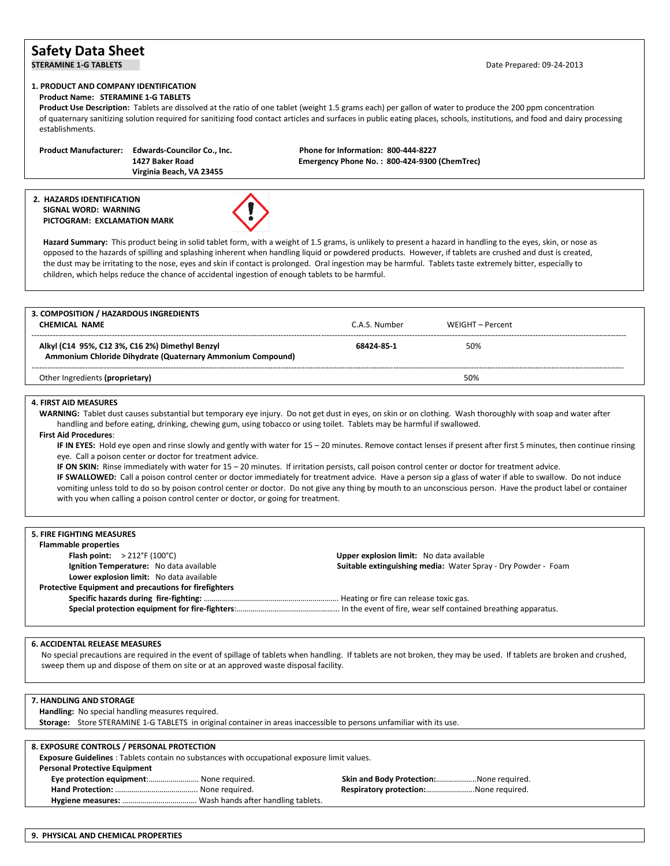# **Safety Data Sheet**

Date Prepared: 09-24-2013

# **1. PRODUCT AND COMPANY IDENTIFICATION**

 **Product Name: STERAMINE 1-G TABLETS**

 **Product Use Description:** Tablets are dissolved at the ratio of one tablet (weight 1.5 grams each) per gallon of water to produce the 200 ppm concentration of quaternary sanitizing solution required for sanitizing food contact articles and surfaces in public eating places, schools, institutions, and food and dairy processing establishments.

 **Product Manufacturer: Edwards-Councilor Co., Inc. Phone for Information: 800-444-8227 Virginia Beach, VA 23455**

 **1427 Baker Road Emergency Phone No. : 800-424-9300 (ChemTrec)**

### **2. HAZARDS IDENTIFICATION SIGNAL WORD: WARNING PICTOGRAM: EXCLAMATION MARK**



Hazard Summary: This product being in solid tablet form, with a weight of 1.5 grams, is unlikely to present a hazard in handling to the eyes, skin, or nose as opposed to the hazards of spilling and splashing inherent when handling liquid or powdered products. However, if tablets are crushed and dust is created, the dust may be irritating to the nose, eyes and skin if contact is prolonged. Oral ingestion may be harmful. Tablets taste extremely bitter, especially to children, which helps reduce the chance of accidental ingestion of enough tablets to be harmful.

| C.A.S. Number | WEIGHT – Percent |  |
|---------------|------------------|--|
| 68424 85 1    | 50%              |  |
|               | 50%              |  |
|               |                  |  |

## **4. FIRST AID MEASURES**

 **WARNING:** Tablet dust causes substantial but temporary eye injury. Do not get dust in eyes, on skin or on clothing. Wash thoroughly with soap and water after handling and before eating, drinking, chewing gum, using tobacco or using toilet. Tablets may be harmful if swallowed.

#### **First Aid Procedures**:

 **IF IN EYES:** Hold eye open and rinse slowly and gently with water for 15 – 20 minutes. Remove contact lenses if present after first 5 minutes, then continue rinsing eye. Call a poison center or doctor for treatment advice.

**IF ON SKIN:** Rinse immediately with water for 15 – 20 minutes. If irritation persists, call poison control center or doctor for treatment advice.

 **IF SWALLOWED:** Call a poison control center or doctor immediately for treatment advice. Have a person sip a glass of water if able to swallow. Do not induce vomiting unless told to do so by poison control center or doctor. Do not give any thing by mouth to an unconscious person. Have the product label or container with you when calling a poison control center or doctor, or going for treatment.

| <b>5. FIRE FIGHTING MEASURES</b>                             |                                                               |
|--------------------------------------------------------------|---------------------------------------------------------------|
| <b>Flammable properties</b>                                  |                                                               |
| Flash point: $>212^{\circ}F(100^{\circ}C)$                   | Upper explosion limit: No data available                      |
| Ignition Temperature: No data available                      | Suitable extinguishing media: Water Spray - Dry Powder - Foam |
| Lower explosion limit: No data available                     |                                                               |
| <b>Protective Equipment and precautions for firefighters</b> |                                                               |
|                                                              |                                                               |
|                                                              |                                                               |

#### **6. ACCIDENTAL RELEASE MEASURES**

 No special precautions are required in the event of spillage of tablets when handling. If tablets are not broken, they may be used. If tablets are broken and crushed, sweep them up and dispose of them on site or at an approved waste disposal facility.

#### **7. HANDLING AND STORAGE**

 **Handling:** No special handling measures required.

 **Storage:** Store STERAMINE 1-G TABLETS in original container in areas inaccessible to persons unfamiliar with its use.

| 8. EXPOSURE CONTROLS / PERSONAL PROTECTION                                                          |                                         |
|-----------------------------------------------------------------------------------------------------|-----------------------------------------|
| <b>Exposure Guidelines</b> : Tablets contain no substances with occupational exposure limit values. |                                         |
| <b>Personal Protective Equipment</b>                                                                |                                         |
| Eye protection equipment: None required.                                                            | Skin and Body Protection:None required. |
|                                                                                                     | Respiratory protection:None required.   |
|                                                                                                     |                                         |